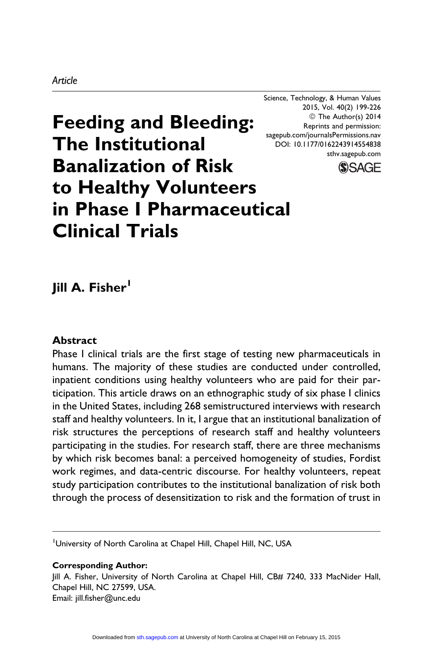#### Article

Science, Technology, & Human Values 2015, Vol. 40(2) 199-226 © The Author(s) 2014 Reprints and permission: [sagepub.com/journalsPermissions.nav](http://www.sagepub.com/journalsPermissions.nav) DOI: 10.1177/0162243914554838 [sthv.sagepub.com](http://sthv.sagepub.com)



# Feeding and Bleeding: The Institutional Banalization of Risk to Healthy Volunteers in Phase I Pharmaceutical Clinical Trials

# Jill A. Fisher<sup>1</sup>

### **Abstract**

Phase I clinical trials are the first stage of testing new pharmaceuticals in humans. The majority of these studies are conducted under controlled, inpatient conditions using healthy volunteers who are paid for their participation. This article draws on an ethnographic study of six phase I clinics in the United States, including 268 semistructured interviews with research staff and healthy volunteers. In it, I argue that an institutional banalization of risk structures the perceptions of research staff and healthy volunteers participating in the studies. For research staff, there are three mechanisms by which risk becomes banal: a perceived homogeneity of studies, Fordist work regimes, and data-centric discourse. For healthy volunteers, repeat study participation contributes to the institutional banalization of risk both through the process of desensitization to risk and the formation of trust in

<sup>1</sup>University of North Carolina at Chapel Hill, Chapel Hill, NC, USA

#### Corresponding Author:

Jill A. Fisher, University of North Carolina at Chapel Hill, CB# 7240, 333 MacNider Hall, Chapel Hill, NC 27599, USA. Email: jill.fisher@unc.edu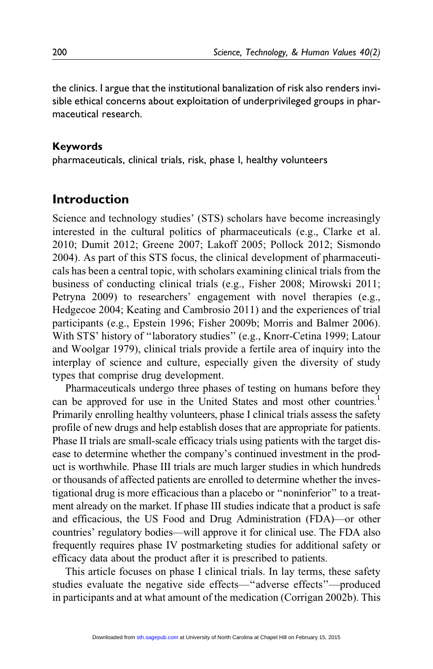the clinics. I argue that the institutional banalization of risk also renders invisible ethical concerns about exploitation of underprivileged groups in pharmaceutical research.

#### Keywords

pharmaceuticals, clinical trials, risk, phase I, healthy volunteers

### Introduction

Science and technology studies' (STS) scholars have become increasingly interested in the cultural politics of pharmaceuticals (e.g., Clarke et al. 2010; Dumit 2012; Greene 2007; Lakoff 2005; Pollock 2012; Sismondo 2004). As part of this STS focus, the clinical development of pharmaceuticals has been a central topic, with scholars examining clinical trials from the business of conducting clinical trials (e.g., Fisher 2008; Mirowski 2011; Petryna 2009) to researchers' engagement with novel therapies (e.g., Hedgecoe 2004; Keating and Cambrosio 2011) and the experiences of trial participants (e.g., Epstein 1996; Fisher 2009b; Morris and Balmer 2006). With STS' history of ''laboratory studies'' (e.g., Knorr-Cetina 1999; Latour and Woolgar 1979), clinical trials provide a fertile area of inquiry into the interplay of science and culture, especially given the diversity of study types that comprise drug development.

Pharmaceuticals undergo three phases of testing on humans before they can be approved for use in the United States and most other countries.<sup>1</sup> Primarily enrolling healthy volunteers, phase I clinical trials assess the safety profile of new drugs and help establish doses that are appropriate for patients. Phase II trials are small-scale efficacy trials using patients with the target disease to determine whether the company's continued investment in the product is worthwhile. Phase III trials are much larger studies in which hundreds or thousands of affected patients are enrolled to determine whether the investigational drug is more efficacious than a placebo or ''noninferior'' to a treatment already on the market. If phase III studies indicate that a product is safe and efficacious, the US Food and Drug Administration (FDA)—or other countries' regulatory bodies—will approve it for clinical use. The FDA also frequently requires phase IV postmarketing studies for additional safety or efficacy data about the product after it is prescribed to patients.

This article focuses on phase I clinical trials. In lay terms, these safety studies evaluate the negative side effects—''adverse effects''—produced in participants and at what amount of the medication (Corrigan 2002b). This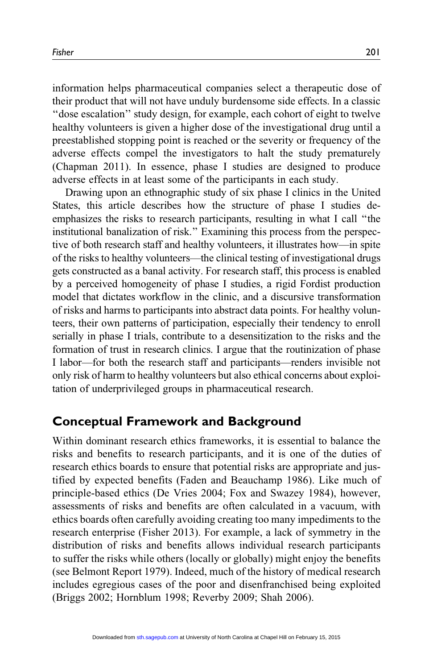information helps pharmaceutical companies select a therapeutic dose of their product that will not have unduly burdensome side effects. In a classic ''dose escalation'' study design, for example, each cohort of eight to twelve healthy volunteers is given a higher dose of the investigational drug until a preestablished stopping point is reached or the severity or frequency of the adverse effects compel the investigators to halt the study prematurely (Chapman 2011). In essence, phase I studies are designed to produce adverse effects in at least some of the participants in each study.

Drawing upon an ethnographic study of six phase I clinics in the United States, this article describes how the structure of phase I studies deemphasizes the risks to research participants, resulting in what I call ''the institutional banalization of risk.'' Examining this process from the perspective of both research staff and healthy volunteers, it illustrates how—in spite of the risks to healthy volunteers—the clinical testing of investigational drugs gets constructed as a banal activity. For research staff, this process is enabled by a perceived homogeneity of phase I studies, a rigid Fordist production model that dictates workflow in the clinic, and a discursive transformation of risks and harms to participants into abstract data points. For healthy volunteers, their own patterns of participation, especially their tendency to enroll serially in phase I trials, contribute to a desensitization to the risks and the formation of trust in research clinics. I argue that the routinization of phase I labor—for both the research staff and participants—renders invisible not only risk of harm to healthy volunteers but also ethical concerns about exploitation of underprivileged groups in pharmaceutical research.

### Conceptual Framework and Background

Within dominant research ethics frameworks, it is essential to balance the risks and benefits to research participants, and it is one of the duties of research ethics boards to ensure that potential risks are appropriate and justified by expected benefits (Faden and Beauchamp 1986). Like much of principle-based ethics (De Vries 2004; Fox and Swazey 1984), however, assessments of risks and benefits are often calculated in a vacuum, with ethics boards often carefully avoiding creating too many impediments to the research enterprise (Fisher 2013). For example, a lack of symmetry in the distribution of risks and benefits allows individual research participants to suffer the risks while others (locally or globally) might enjoy the benefits (see Belmont Report 1979). Indeed, much of the history of medical research includes egregious cases of the poor and disenfranchised being exploited (Briggs 2002; Hornblum 1998; Reverby 2009; Shah 2006).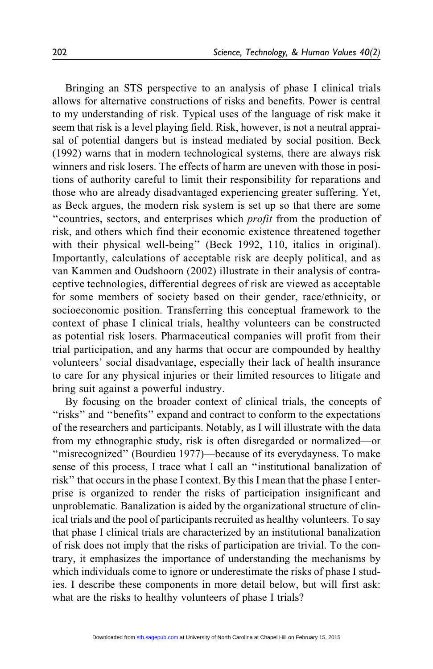Bringing an STS perspective to an analysis of phase I clinical trials allows for alternative constructions of risks and benefits. Power is central to my understanding of risk. Typical uses of the language of risk make it seem that risk is a level playing field. Risk, however, is not a neutral appraisal of potential dangers but is instead mediated by social position. Beck (1992) warns that in modern technological systems, there are always risk winners and risk losers. The effects of harm are uneven with those in positions of authority careful to limit their responsibility for reparations and those who are already disadvantaged experiencing greater suffering. Yet, as Beck argues, the modern risk system is set up so that there are some ''countries, sectors, and enterprises which profit from the production of risk, and others which find their economic existence threatened together with their physical well-being'' (Beck 1992, 110, italics in original). Importantly, calculations of acceptable risk are deeply political, and as van Kammen and Oudshoorn (2002) illustrate in their analysis of contraceptive technologies, differential degrees of risk are viewed as acceptable for some members of society based on their gender, race/ethnicity, or socioeconomic position. Transferring this conceptual framework to the context of phase I clinical trials, healthy volunteers can be constructed as potential risk losers. Pharmaceutical companies will profit from their trial participation, and any harms that occur are compounded by healthy volunteers' social disadvantage, especially their lack of health insurance to care for any physical injuries or their limited resources to litigate and bring suit against a powerful industry.

By focusing on the broader context of clinical trials, the concepts of "risks" and "benefits" expand and contract to conform to the expectations of the researchers and participants. Notably, as I will illustrate with the data from my ethnographic study, risk is often disregarded or normalized—or ''misrecognized'' (Bourdieu 1977)—because of its everydayness. To make sense of this process, I trace what I call an ''institutional banalization of risk'' that occurs in the phase I context. By this I mean that the phase I enterprise is organized to render the risks of participation insignificant and unproblematic. Banalization is aided by the organizational structure of clinical trials and the pool of participants recruited as healthy volunteers. To say that phase I clinical trials are characterized by an institutional banalization of risk does not imply that the risks of participation are trivial. To the contrary, it emphasizes the importance of understanding the mechanisms by which individuals come to ignore or underestimate the risks of phase I studies. I describe these components in more detail below, but will first ask: what are the risks to healthy volunteers of phase I trials?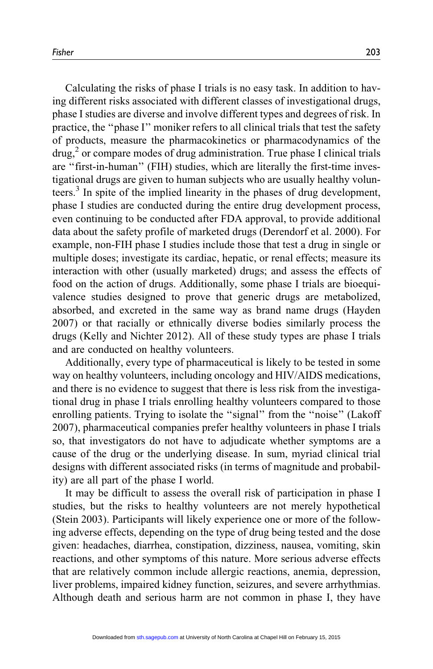Calculating the risks of phase I trials is no easy task. In addition to having different risks associated with different classes of investigational drugs, phase I studies are diverse and involve different types and degrees of risk. In practice, the ''phase I'' moniker refers to all clinical trials that test the safety of products, measure the pharmacokinetics or pharmacodynamics of the  $d\text{rug}^2$  or compare modes of drug administration. True phase I clinical trials are ''first-in-human'' (FIH) studies, which are literally the first-time investigational drugs are given to human subjects who are usually healthy volunteers.<sup>3</sup> In spite of the implied linearity in the phases of drug development, phase I studies are conducted during the entire drug development process, even continuing to be conducted after FDA approval, to provide additional data about the safety profile of marketed drugs (Derendorf et al. 2000). For example, non-FIH phase I studies include those that test a drug in single or multiple doses; investigate its cardiac, hepatic, or renal effects; measure its interaction with other (usually marketed) drugs; and assess the effects of food on the action of drugs. Additionally, some phase I trials are bioequivalence studies designed to prove that generic drugs are metabolized, absorbed, and excreted in the same way as brand name drugs (Hayden 2007) or that racially or ethnically diverse bodies similarly process the drugs (Kelly and Nichter 2012). All of these study types are phase I trials and are conducted on healthy volunteers.

Additionally, every type of pharmaceutical is likely to be tested in some way on healthy volunteers, including oncology and HIV/AIDS medications, and there is no evidence to suggest that there is less risk from the investigational drug in phase I trials enrolling healthy volunteers compared to those enrolling patients. Trying to isolate the "signal" from the "noise" (Lakoff 2007), pharmaceutical companies prefer healthy volunteers in phase I trials so, that investigators do not have to adjudicate whether symptoms are a cause of the drug or the underlying disease. In sum, myriad clinical trial designs with different associated risks (in terms of magnitude and probability) are all part of the phase I world.

It may be difficult to assess the overall risk of participation in phase I studies, but the risks to healthy volunteers are not merely hypothetical (Stein 2003). Participants will likely experience one or more of the following adverse effects, depending on the type of drug being tested and the dose given: headaches, diarrhea, constipation, dizziness, nausea, vomiting, skin reactions, and other symptoms of this nature. More serious adverse effects that are relatively common include allergic reactions, anemia, depression, liver problems, impaired kidney function, seizures, and severe arrhythmias. Although death and serious harm are not common in phase I, they have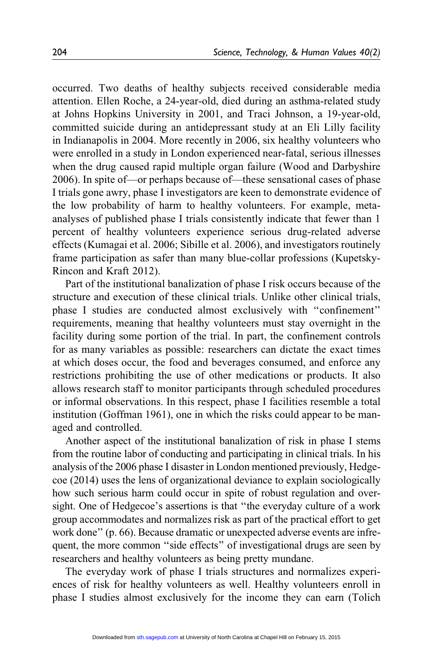occurred. Two deaths of healthy subjects received considerable media attention. Ellen Roche, a 24-year-old, died during an asthma-related study at Johns Hopkins University in 2001, and Traci Johnson, a 19-year-old, committed suicide during an antidepressant study at an Eli Lilly facility in Indianapolis in 2004. More recently in 2006, six healthy volunteers who were enrolled in a study in London experienced near-fatal, serious illnesses when the drug caused rapid multiple organ failure (Wood and Darbyshire 2006). In spite of—or perhaps because of—these sensational cases of phase I trials gone awry, phase I investigators are keen to demonstrate evidence of the low probability of harm to healthy volunteers. For example, metaanalyses of published phase I trials consistently indicate that fewer than 1 percent of healthy volunteers experience serious drug-related adverse effects (Kumagai et al. 2006; Sibille et al. 2006), and investigators routinely frame participation as safer than many blue-collar professions (Kupetsky-Rincon and Kraft 2012).

Part of the institutional banalization of phase I risk occurs because of the structure and execution of these clinical trials. Unlike other clinical trials, phase I studies are conducted almost exclusively with ''confinement'' requirements, meaning that healthy volunteers must stay overnight in the facility during some portion of the trial. In part, the confinement controls for as many variables as possible: researchers can dictate the exact times at which doses occur, the food and beverages consumed, and enforce any restrictions prohibiting the use of other medications or products. It also allows research staff to monitor participants through scheduled procedures or informal observations. In this respect, phase I facilities resemble a total institution (Goffman 1961), one in which the risks could appear to be managed and controlled.

Another aspect of the institutional banalization of risk in phase I stems from the routine labor of conducting and participating in clinical trials. In his analysis of the 2006 phase I disaster in London mentioned previously, Hedgecoe (2014) uses the lens of organizational deviance to explain sociologically how such serious harm could occur in spite of robust regulation and oversight. One of Hedgecoe's assertions is that ''the everyday culture of a work group accommodates and normalizes risk as part of the practical effort to get work done'' (p. 66). Because dramatic or unexpected adverse events are infrequent, the more common ''side effects'' of investigational drugs are seen by researchers and healthy volunteers as being pretty mundane.

The everyday work of phase I trials structures and normalizes experiences of risk for healthy volunteers as well. Healthy volunteers enroll in phase I studies almost exclusively for the income they can earn (Tolich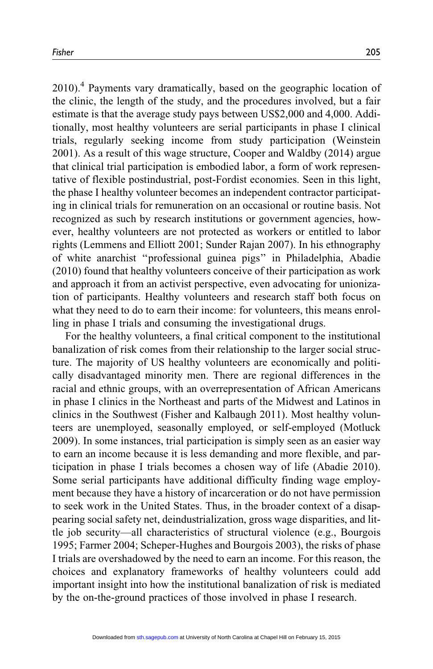$2010$ .<sup>4</sup> Payments vary dramatically, based on the geographic location of the clinic, the length of the study, and the procedures involved, but a fair estimate is that the average study pays between US\$2,000 and 4,000. Additionally, most healthy volunteers are serial participants in phase I clinical trials, regularly seeking income from study participation (Weinstein 2001). As a result of this wage structure, Cooper and Waldby (2014) argue that clinical trial participation is embodied labor, a form of work representative of flexible postindustrial, post-Fordist economies. Seen in this light, the phase I healthy volunteer becomes an independent contractor participating in clinical trials for remuneration on an occasional or routine basis. Not recognized as such by research institutions or government agencies, however, healthy volunteers are not protected as workers or entitled to labor rights (Lemmens and Elliott 2001; Sunder Rajan 2007). In his ethnography of white anarchist ''professional guinea pigs'' in Philadelphia, Abadie (2010) found that healthy volunteers conceive of their participation as work and approach it from an activist perspective, even advocating for unionization of participants. Healthy volunteers and research staff both focus on what they need to do to earn their income: for volunteers, this means enrolling in phase I trials and consuming the investigational drugs.

For the healthy volunteers, a final critical component to the institutional banalization of risk comes from their relationship to the larger social structure. The majority of US healthy volunteers are economically and politically disadvantaged minority men. There are regional differences in the racial and ethnic groups, with an overrepresentation of African Americans in phase I clinics in the Northeast and parts of the Midwest and Latinos in clinics in the Southwest (Fisher and Kalbaugh 2011). Most healthy volunteers are unemployed, seasonally employed, or self-employed (Motluck 2009). In some instances, trial participation is simply seen as an easier way to earn an income because it is less demanding and more flexible, and participation in phase I trials becomes a chosen way of life (Abadie 2010). Some serial participants have additional difficulty finding wage employment because they have a history of incarceration or do not have permission to seek work in the United States. Thus, in the broader context of a disappearing social safety net, deindustrialization, gross wage disparities, and little job security—all characteristics of structural violence (e.g., Bourgois 1995; Farmer 2004; Scheper-Hughes and Bourgois 2003), the risks of phase I trials are overshadowed by the need to earn an income. For this reason, the choices and explanatory frameworks of healthy volunteers could add important insight into how the institutional banalization of risk is mediated by the on-the-ground practices of those involved in phase I research.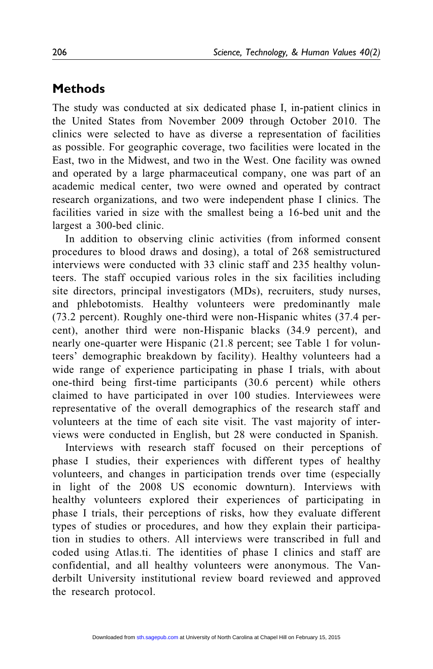# **Methods**

The study was conducted at six dedicated phase I, in-patient clinics in the United States from November 2009 through October 2010. The clinics were selected to have as diverse a representation of facilities as possible. For geographic coverage, two facilities were located in the East, two in the Midwest, and two in the West. One facility was owned and operated by a large pharmaceutical company, one was part of an academic medical center, two were owned and operated by contract research organizations, and two were independent phase I clinics. The facilities varied in size with the smallest being a 16-bed unit and the largest a 300-bed clinic.

In addition to observing clinic activities (from informed consent procedures to blood draws and dosing), a total of 268 semistructured interviews were conducted with 33 clinic staff and 235 healthy volunteers. The staff occupied various roles in the six facilities including site directors, principal investigators (MDs), recruiters, study nurses, and phlebotomists. Healthy volunteers were predominantly male (73.2 percent). Roughly one-third were non-Hispanic whites (37.4 percent), another third were non-Hispanic blacks (34.9 percent), and nearly one-quarter were Hispanic (21.8 percent; see Table 1 for volunteers' demographic breakdown by facility). Healthy volunteers had a wide range of experience participating in phase I trials, with about one-third being first-time participants (30.6 percent) while others claimed to have participated in over 100 studies. Interviewees were representative of the overall demographics of the research staff and volunteers at the time of each site visit. The vast majority of interviews were conducted in English, but 28 were conducted in Spanish.

Interviews with research staff focused on their perceptions of phase I studies, their experiences with different types of healthy volunteers, and changes in participation trends over time (especially in light of the 2008 US economic downturn). Interviews with healthy volunteers explored their experiences of participating in phase I trials, their perceptions of risks, how they evaluate different types of studies or procedures, and how they explain their participation in studies to others. All interviews were transcribed in full and coded using Atlas.ti. The identities of phase I clinics and staff are confidential, and all healthy volunteers were anonymous. The Vanderbilt University institutional review board reviewed and approved the research protocol.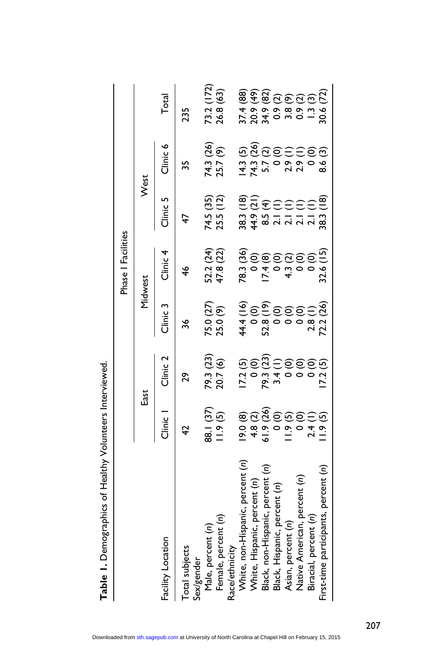| $\ddot{\phantom{a}}$  |
|-----------------------|
|                       |
| ļ<br>֕<br>J<br>゚<br>ı |
|                       |
|                       |

|                                      |               |                       |                | Phase   Facilities            |                  |                              |                                                       |
|--------------------------------------|---------------|-----------------------|----------------|-------------------------------|------------------|------------------------------|-------------------------------------------------------|
|                                      |               | East                  |                | Midwest                       |                  | West                         |                                                       |
| Facility Location                    | Clinic        | Clinic 2              | Clinic 3       | Clinic 4                      | Clinic 5         | Clinic 6                     | Total                                                 |
| Total subjects<br>Sex/gender         | 42            | 29                    | 36             |                               | 47               | 35                           | 235                                                   |
| Male, percent (n)                    | 88.1 (37)     |                       | 75.0 (27)      |                               | 74.5 (35)        | 74.3 (26)                    | 73.2 (172)                                            |
| Female, percent (n)                  | 11.9(5)       | 79.3 (23)<br>20.7 (6) | 25.0 (9)       | 52.2 (24)<br>47.8 (22)        | 25.5(12)         | 25.7(9)                      | 26.8(63)                                              |
| Race/ethnicity                       |               |                       |                |                               |                  |                              |                                                       |
| White, non-Hispanic, percent (n)     | 9.0 (8)       | 17.2(5)               | 44.4 (16)      | 78.3 (36)                     | 38.3 (18)        | 14.3(5)                      | 37.4 (88)                                             |
| White, Hispanic, percent (n)         | 4.8 (2)       | $\frac{6}{6}$         | $\frac{6}{10}$ | $\frac{1}{2}$                 | 44.9 (21)        | /4.3 (26)                    | 20.9 (49)                                             |
| Black, non-Hispanic, percent (n)     | 61.9 (26)     | 79.3 (23)             | 52.8 (19)      | 17.4(8)                       | 8.5(4)           | 5.7(2)                       |                                                       |
| Black, Hispanic, percent (n)         | $\frac{1}{2}$ | 3.4(1)                | $\frac{6}{10}$ |                               | 2.1(i)           |                              |                                                       |
| Asian, percent (n)                   | 11.9(5)       | $\frac{6}{\circ}$     |                |                               | $\overline{2.1}$ | $rac{2}{3}$<br>$\frac{6}{2}$ |                                                       |
| Native American, percent (n)         | $\frac{6}{6}$ |                       |                | $0.000$<br>$0.000$<br>$0.000$ | $\overline{2}$   | $\frac{6}{2}$                | 34.9 (82)<br>0.9 (9)<br>0.9 (9)<br>0.9 (9)<br>1.3 (9) |
| Biracial, percent (n)                | 2.4(1)        | $\frac{1}{20}$        | $\frac{8}{1}$  |                               | $\frac{1}{2}$    | $\frac{6}{\circ}$            |                                                       |
| First-time participants, percent (n) | 1.9(5)        | 7.2(5)                | 72.2 (26)      | 32.6(15)                      | 38.3(18)         | 8.6 (3)                      | 30.6 (72)                                             |
|                                      |               |                       |                |                               |                  |                              |                                                       |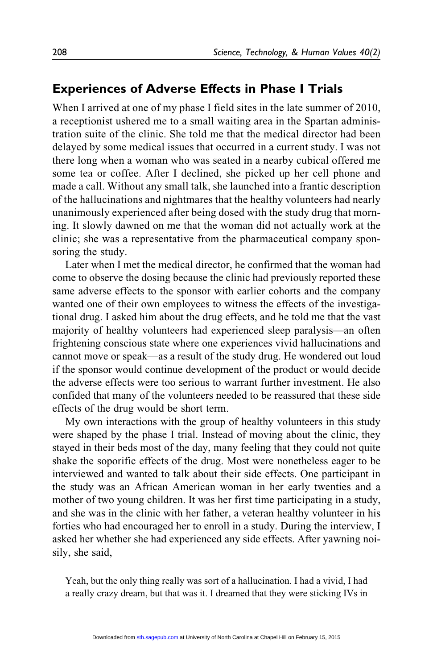### Experiences of Adverse Effects in Phase I Trials

When I arrived at one of my phase I field sites in the late summer of 2010, a receptionist ushered me to a small waiting area in the Spartan administration suite of the clinic. She told me that the medical director had been delayed by some medical issues that occurred in a current study. I was not there long when a woman who was seated in a nearby cubical offered me some tea or coffee. After I declined, she picked up her cell phone and made a call. Without any small talk, she launched into a frantic description of the hallucinations and nightmares that the healthy volunteers had nearly unanimously experienced after being dosed with the study drug that morning. It slowly dawned on me that the woman did not actually work at the clinic; she was a representative from the pharmaceutical company sponsoring the study.

Later when I met the medical director, he confirmed that the woman had come to observe the dosing because the clinic had previously reported these same adverse effects to the sponsor with earlier cohorts and the company wanted one of their own employees to witness the effects of the investigational drug. I asked him about the drug effects, and he told me that the vast majority of healthy volunteers had experienced sleep paralysis—an often frightening conscious state where one experiences vivid hallucinations and cannot move or speak—as a result of the study drug. He wondered out loud if the sponsor would continue development of the product or would decide the adverse effects were too serious to warrant further investment. He also confided that many of the volunteers needed to be reassured that these side effects of the drug would be short term.

My own interactions with the group of healthy volunteers in this study were shaped by the phase I trial. Instead of moving about the clinic, they stayed in their beds most of the day, many feeling that they could not quite shake the soporific effects of the drug. Most were nonetheless eager to be interviewed and wanted to talk about their side effects. One participant in the study was an African American woman in her early twenties and a mother of two young children. It was her first time participating in a study, and she was in the clinic with her father, a veteran healthy volunteer in his forties who had encouraged her to enroll in a study. During the interview, I asked her whether she had experienced any side effects. After yawning noisily, she said,

Yeah, but the only thing really was sort of a hallucination. I had a vivid, I had a really crazy dream, but that was it. I dreamed that they were sticking IVs in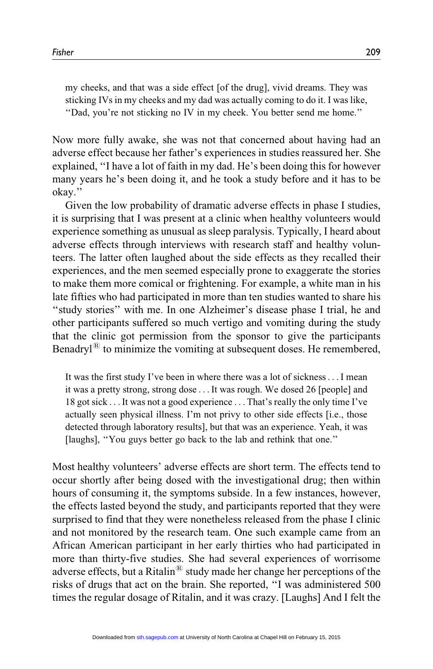my cheeks, and that was a side effect [of the drug], vivid dreams. They was sticking IVs in my cheeks and my dad was actually coming to do it. I was like, ''Dad, you're not sticking no IV in my cheek. You better send me home.''

Now more fully awake, she was not that concerned about having had an adverse effect because her father's experiences in studies reassured her. She explained, ''I have a lot of faith in my dad. He's been doing this for however many years he's been doing it, and he took a study before and it has to be okay.''

Given the low probability of dramatic adverse effects in phase I studies, it is surprising that I was present at a clinic when healthy volunteers would experience something as unusual as sleep paralysis. Typically, I heard about adverse effects through interviews with research staff and healthy volunteers. The latter often laughed about the side effects as they recalled their experiences, and the men seemed especially prone to exaggerate the stories to make them more comical or frightening. For example, a white man in his late fifties who had participated in more than ten studies wanted to share his "study stories" with me. In one Alzheimer's disease phase I trial, he and other participants suffered so much vertigo and vomiting during the study that the clinic got permission from the sponsor to give the participants Benadryl<sup> $\circledR$ </sup> to minimize the vomiting at subsequent doses. He remembered,

It was the first study I've been in where there was a lot of sickness...I mean it was a pretty strong, strong dose ...It was rough. We dosed 26 [people] and 18 got sick ...It was not a good experience ... That's really the only time I've actually seen physical illness. I'm not privy to other side effects [i.e., those detected through laboratory results], but that was an experience. Yeah, it was [laughs], ''You guys better go back to the lab and rethink that one.''

Most healthy volunteers' adverse effects are short term. The effects tend to occur shortly after being dosed with the investigational drug; then within hours of consuming it, the symptoms subside. In a few instances, however, the effects lasted beyond the study, and participants reported that they were surprised to find that they were nonetheless released from the phase I clinic and not monitored by the research team. One such example came from an African American participant in her early thirties who had participated in more than thirty-five studies. She had several experiences of worrisome adverse effects, but a Ritalin<sup>®</sup> study made her change her perceptions of the risks of drugs that act on the brain. She reported, ''I was administered 500 times the regular dosage of Ritalin, and it was crazy. [Laughs] And I felt the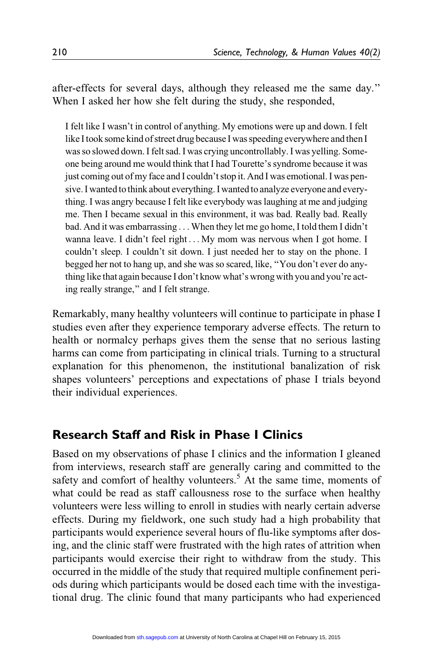after-effects for several days, although they released me the same day.'' When I asked her how she felt during the study, she responded,

I felt like I wasn't in control of anything. My emotions were up and down. I felt like I took some kind of street drug because I was speeding everywhere and then I was so slowed down. I felt sad. I was crying uncontrollably. I was yelling. Someone being around me would think that I had Tourette's syndrome because it was just coming out of my face and I couldn't stop it. And I was emotional. I was pensive. I wanted to think about everything. I wanted to analyze everyone and everything. I was angry because I felt like everybody was laughing at me and judging me. Then I became sexual in this environment, it was bad. Really bad. Really bad. And it was embarrassing ... When they let me go home, I told them I didn't wanna leave. I didn't feel right ... My mom was nervous when I got home. I couldn't sleep. I couldn't sit down. I just needed her to stay on the phone. I begged her not to hang up, and she was so scared, like, ''You don't ever do anything like that again because I don't know what's wrong with you and you're acting really strange," and I felt strange.

Remarkably, many healthy volunteers will continue to participate in phase I studies even after they experience temporary adverse effects. The return to health or normalcy perhaps gives them the sense that no serious lasting harms can come from participating in clinical trials. Turning to a structural explanation for this phenomenon, the institutional banalization of risk shapes volunteers' perceptions and expectations of phase I trials beyond their individual experiences.

# Research Staff and Risk in Phase I Clinics

Based on my observations of phase I clinics and the information I gleaned from interviews, research staff are generally caring and committed to the safety and comfort of healthy volunteers.<sup>5</sup> At the same time, moments of what could be read as staff callousness rose to the surface when healthy volunteers were less willing to enroll in studies with nearly certain adverse effects. During my fieldwork, one such study had a high probability that participants would experience several hours of flu-like symptoms after dosing, and the clinic staff were frustrated with the high rates of attrition when participants would exercise their right to withdraw from the study. This occurred in the middle of the study that required multiple confinement periods during which participants would be dosed each time with the investigational drug. The clinic found that many participants who had experienced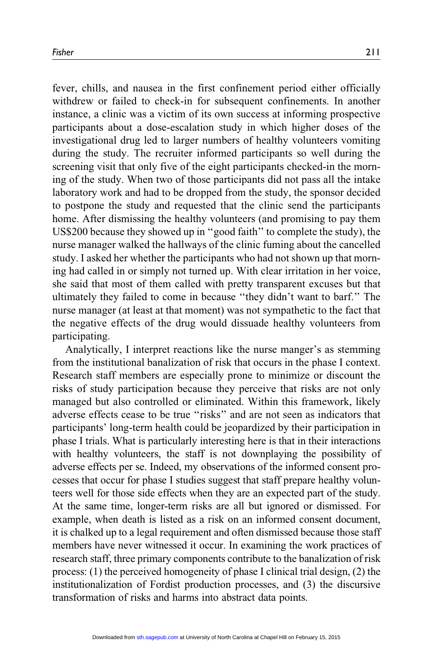fever, chills, and nausea in the first confinement period either officially withdrew or failed to check-in for subsequent confinements. In another instance, a clinic was a victim of its own success at informing prospective participants about a dose-escalation study in which higher doses of the investigational drug led to larger numbers of healthy volunteers vomiting during the study. The recruiter informed participants so well during the screening visit that only five of the eight participants checked-in the morning of the study. When two of those participants did not pass all the intake laboratory work and had to be dropped from the study, the sponsor decided to postpone the study and requested that the clinic send the participants home. After dismissing the healthy volunteers (and promising to pay them US\$200 because they showed up in ''good faith'' to complete the study), the nurse manager walked the hallways of the clinic fuming about the cancelled study. I asked her whether the participants who had not shown up that morning had called in or simply not turned up. With clear irritation in her voice, she said that most of them called with pretty transparent excuses but that ultimately they failed to come in because ''they didn't want to barf.'' The nurse manager (at least at that moment) was not sympathetic to the fact that the negative effects of the drug would dissuade healthy volunteers from participating.

Analytically, I interpret reactions like the nurse manger's as stemming from the institutional banalization of risk that occurs in the phase I context. Research staff members are especially prone to minimize or discount the risks of study participation because they perceive that risks are not only managed but also controlled or eliminated. Within this framework, likely adverse effects cease to be true ''risks'' and are not seen as indicators that participants' long-term health could be jeopardized by their participation in phase I trials. What is particularly interesting here is that in their interactions with healthy volunteers, the staff is not downplaying the possibility of adverse effects per se. Indeed, my observations of the informed consent processes that occur for phase I studies suggest that staff prepare healthy volunteers well for those side effects when they are an expected part of the study. At the same time, longer-term risks are all but ignored or dismissed. For example, when death is listed as a risk on an informed consent document, it is chalked up to a legal requirement and often dismissed because those staff members have never witnessed it occur. In examining the work practices of research staff, three primary components contribute to the banalization of risk process: (1) the perceived homogeneity of phase I clinical trial design, (2) the institutionalization of Fordist production processes, and (3) the discursive transformation of risks and harms into abstract data points.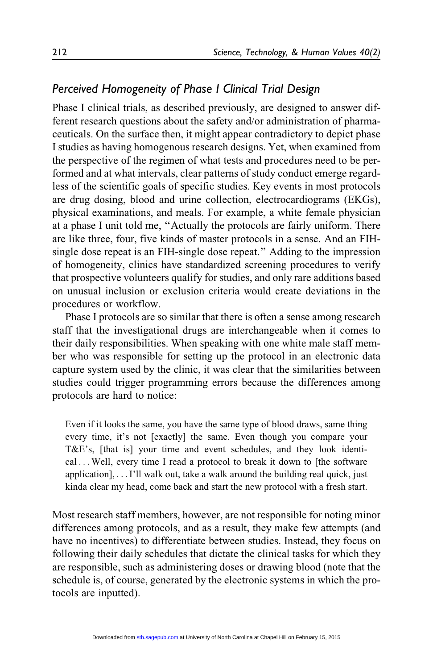# Perceived Homogeneity of Phase I Clinical Trial Design

Phase I clinical trials, as described previously, are designed to answer different research questions about the safety and/or administration of pharmaceuticals. On the surface then, it might appear contradictory to depict phase I studies as having homogenous research designs. Yet, when examined from the perspective of the regimen of what tests and procedures need to be performed and at what intervals, clear patterns of study conduct emerge regardless of the scientific goals of specific studies. Key events in most protocols are drug dosing, blood and urine collection, electrocardiograms (EKGs), physical examinations, and meals. For example, a white female physician at a phase I unit told me, ''Actually the protocols are fairly uniform. There are like three, four, five kinds of master protocols in a sense. And an FIHsingle dose repeat is an FIH-single dose repeat.'' Adding to the impression of homogeneity, clinics have standardized screening procedures to verify that prospective volunteers qualify for studies, and only rare additions based on unusual inclusion or exclusion criteria would create deviations in the procedures or workflow.

Phase I protocols are so similar that there is often a sense among research staff that the investigational drugs are interchangeable when it comes to their daily responsibilities. When speaking with one white male staff member who was responsible for setting up the protocol in an electronic data capture system used by the clinic, it was clear that the similarities between studies could trigger programming errors because the differences among protocols are hard to notice:

Even if it looks the same, you have the same type of blood draws, same thing every time, it's not [exactly] the same. Even though you compare your T&E's, [that is] your time and event schedules, and they look identical ... Well, every time I read a protocol to break it down to [the software application], ...I'll walk out, take a walk around the building real quick, just kinda clear my head, come back and start the new protocol with a fresh start.

Most research staff members, however, are not responsible for noting minor differences among protocols, and as a result, they make few attempts (and have no incentives) to differentiate between studies. Instead, they focus on following their daily schedules that dictate the clinical tasks for which they are responsible, such as administering doses or drawing blood (note that the schedule is, of course, generated by the electronic systems in which the protocols are inputted).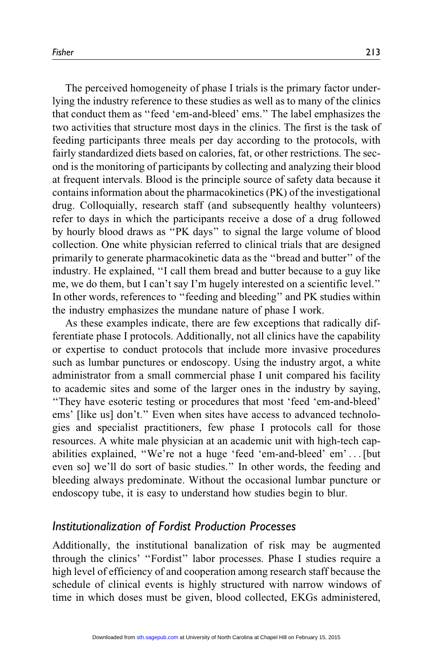The perceived homogeneity of phase I trials is the primary factor underlying the industry reference to these studies as well as to many of the clinics that conduct them as ''feed 'em-and-bleed' ems.'' The label emphasizes the two activities that structure most days in the clinics. The first is the task of feeding participants three meals per day according to the protocols, with fairly standardized diets based on calories, fat, or other restrictions. The second is the monitoring of participants by collecting and analyzing their blood at frequent intervals. Blood is the principle source of safety data because it contains information about the pharmacokinetics (PK) of the investigational drug. Colloquially, research staff (and subsequently healthy volunteers) refer to days in which the participants receive a dose of a drug followed by hourly blood draws as ''PK days'' to signal the large volume of blood collection. One white physician referred to clinical trials that are designed primarily to generate pharmacokinetic data as the ''bread and butter'' of the industry. He explained, ''I call them bread and butter because to a guy like me, we do them, but I can't say I'm hugely interested on a scientific level.'' In other words, references to ''feeding and bleeding'' and PK studies within the industry emphasizes the mundane nature of phase I work.

As these examples indicate, there are few exceptions that radically differentiate phase I protocols. Additionally, not all clinics have the capability or expertise to conduct protocols that include more invasive procedures such as lumbar punctures or endoscopy. Using the industry argot, a white administrator from a small commercial phase I unit compared his facility to academic sites and some of the larger ones in the industry by saying, ''They have esoteric testing or procedures that most 'feed 'em-and-bleed' ems' [like us] don't.'' Even when sites have access to advanced technologies and specialist practitioners, few phase I protocols call for those resources. A white male physician at an academic unit with high-tech capabilities explained, ''We're not a huge 'feed 'em-and-bleed' em'...[but even so] we'll do sort of basic studies.'' In other words, the feeding and bleeding always predominate. Without the occasional lumbar puncture or endoscopy tube, it is easy to understand how studies begin to blur.

### Institutionalization of Fordist Production Processes

Additionally, the institutional banalization of risk may be augmented through the clinics' ''Fordist'' labor processes. Phase I studies require a high level of efficiency of and cooperation among research staff because the schedule of clinical events is highly structured with narrow windows of time in which doses must be given, blood collected, EKGs administered,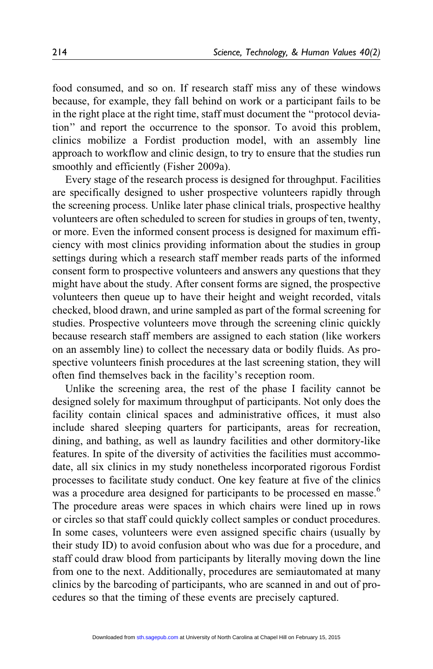food consumed, and so on. If research staff miss any of these windows because, for example, they fall behind on work or a participant fails to be in the right place at the right time, staff must document the ''protocol deviation'' and report the occurrence to the sponsor. To avoid this problem, clinics mobilize a Fordist production model, with an assembly line approach to workflow and clinic design, to try to ensure that the studies run smoothly and efficiently (Fisher 2009a).

Every stage of the research process is designed for throughput. Facilities are specifically designed to usher prospective volunteers rapidly through the screening process. Unlike later phase clinical trials, prospective healthy volunteers are often scheduled to screen for studies in groups of ten, twenty, or more. Even the informed consent process is designed for maximum efficiency with most clinics providing information about the studies in group settings during which a research staff member reads parts of the informed consent form to prospective volunteers and answers any questions that they might have about the study. After consent forms are signed, the prospective volunteers then queue up to have their height and weight recorded, vitals checked, blood drawn, and urine sampled as part of the formal screening for studies. Prospective volunteers move through the screening clinic quickly because research staff members are assigned to each station (like workers on an assembly line) to collect the necessary data or bodily fluids. As prospective volunteers finish procedures at the last screening station, they will often find themselves back in the facility's reception room.

Unlike the screening area, the rest of the phase I facility cannot be designed solely for maximum throughput of participants. Not only does the facility contain clinical spaces and administrative offices, it must also include shared sleeping quarters for participants, areas for recreation, dining, and bathing, as well as laundry facilities and other dormitory-like features. In spite of the diversity of activities the facilities must accommodate, all six clinics in my study nonetheless incorporated rigorous Fordist processes to facilitate study conduct. One key feature at five of the clinics was a procedure area designed for participants to be processed en masse.<sup>6</sup> The procedure areas were spaces in which chairs were lined up in rows or circles so that staff could quickly collect samples or conduct procedures. In some cases, volunteers were even assigned specific chairs (usually by their study ID) to avoid confusion about who was due for a procedure, and staff could draw blood from participants by literally moving down the line from one to the next. Additionally, procedures are semiautomated at many clinics by the barcoding of participants, who are scanned in and out of procedures so that the timing of these events are precisely captured.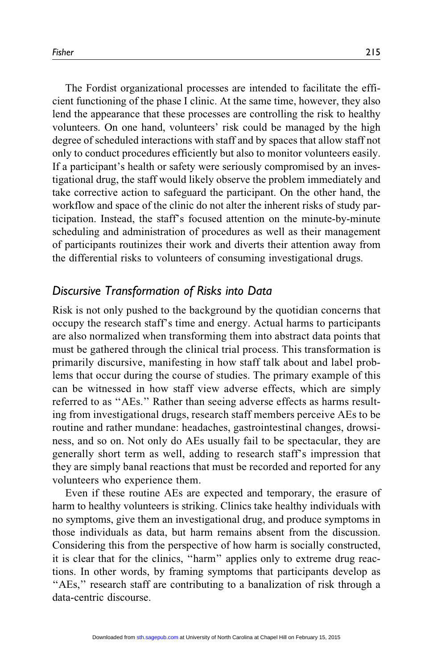The Fordist organizational processes are intended to facilitate the efficient functioning of the phase I clinic. At the same time, however, they also lend the appearance that these processes are controlling the risk to healthy volunteers. On one hand, volunteers' risk could be managed by the high degree of scheduled interactions with staff and by spaces that allow staff not only to conduct procedures efficiently but also to monitor volunteers easily. If a participant's health or safety were seriously compromised by an investigational drug, the staff would likely observe the problem immediately and take corrective action to safeguard the participant. On the other hand, the workflow and space of the clinic do not alter the inherent risks of study participation. Instead, the staff's focused attention on the minute-by-minute scheduling and administration of procedures as well as their management of participants routinizes their work and diverts their attention away from the differential risks to volunteers of consuming investigational drugs.

# Discursive Transformation of Risks into Data

Risk is not only pushed to the background by the quotidian concerns that occupy the research staff's time and energy. Actual harms to participants are also normalized when transforming them into abstract data points that must be gathered through the clinical trial process. This transformation is primarily discursive, manifesting in how staff talk about and label problems that occur during the course of studies. The primary example of this can be witnessed in how staff view adverse effects, which are simply referred to as ''AEs.'' Rather than seeing adverse effects as harms resulting from investigational drugs, research staff members perceive AEs to be routine and rather mundane: headaches, gastrointestinal changes, drowsiness, and so on. Not only do AEs usually fail to be spectacular, they are generally short term as well, adding to research staff's impression that they are simply banal reactions that must be recorded and reported for any volunteers who experience them.

Even if these routine AEs are expected and temporary, the erasure of harm to healthy volunteers is striking. Clinics take healthy individuals with no symptoms, give them an investigational drug, and produce symptoms in those individuals as data, but harm remains absent from the discussion. Considering this from the perspective of how harm is socially constructed, it is clear that for the clinics, ''harm'' applies only to extreme drug reactions. In other words, by framing symptoms that participants develop as "AEs," research staff are contributing to a banalization of risk through a data-centric discourse.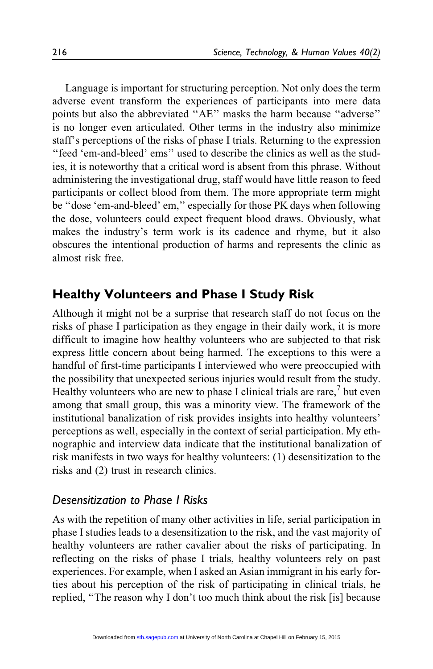Language is important for structuring perception. Not only does the term adverse event transform the experiences of participants into mere data points but also the abbreviated ''AE'' masks the harm because ''adverse'' is no longer even articulated. Other terms in the industry also minimize staff's perceptions of the risks of phase I trials. Returning to the expression ''feed 'em-and-bleed' ems'' used to describe the clinics as well as the studies, it is noteworthy that a critical word is absent from this phrase. Without administering the investigational drug, staff would have little reason to feed participants or collect blood from them. The more appropriate term might be ''dose 'em-and-bleed' em,'' especially for those PK days when following the dose, volunteers could expect frequent blood draws. Obviously, what makes the industry's term work is its cadence and rhyme, but it also obscures the intentional production of harms and represents the clinic as almost risk free.

### Healthy Volunteers and Phase I Study Risk

Although it might not be a surprise that research staff do not focus on the risks of phase I participation as they engage in their daily work, it is more difficult to imagine how healthy volunteers who are subjected to that risk express little concern about being harmed. The exceptions to this were a handful of first-time participants I interviewed who were preoccupied with the possibility that unexpected serious injuries would result from the study. Healthy volunteers who are new to phase I clinical trials are rare, $7$  but even among that small group, this was a minority view. The framework of the institutional banalization of risk provides insights into healthy volunteers' perceptions as well, especially in the context of serial participation. My ethnographic and interview data indicate that the institutional banalization of risk manifests in two ways for healthy volunteers: (1) desensitization to the risks and (2) trust in research clinics.

### Desensitization to Phase I Risks

As with the repetition of many other activities in life, serial participation in phase I studies leads to a desensitization to the risk, and the vast majority of healthy volunteers are rather cavalier about the risks of participating. In reflecting on the risks of phase I trials, healthy volunteers rely on past experiences. For example, when I asked an Asian immigrant in his early forties about his perception of the risk of participating in clinical trials, he replied, ''The reason why I don't too much think about the risk [is] because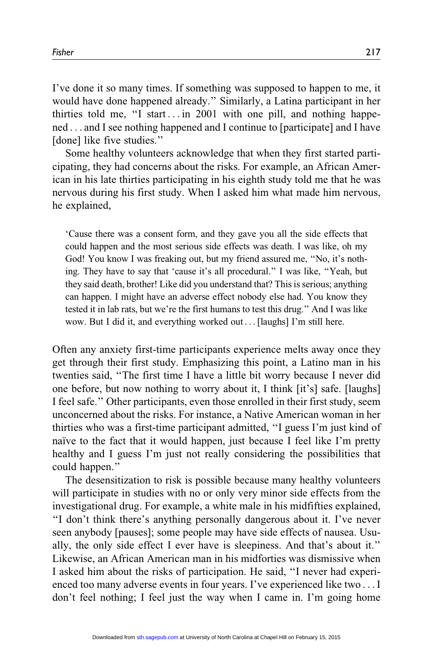I've done it so many times. If something was supposed to happen to me, it would have done happened already.'' Similarly, a Latina participant in her thirties told me, ''I start ... in 2001 with one pill, and nothing happened ... and I see nothing happened and I continue to [participate] and I have [done] like five studies."

Some healthy volunteers acknowledge that when they first started participating, they had concerns about the risks. For example, an African American in his late thirties participating in his eighth study told me that he was nervous during his first study. When I asked him what made him nervous, he explained,

'Cause there was a consent form, and they gave you all the side effects that could happen and the most serious side effects was death. I was like, oh my God! You know I was freaking out, but my friend assured me, ''No, it's nothing. They have to say that 'cause it's all procedural.'' I was like, ''Yeah, but they said death, brother! Like did you understand that? This is serious; anything can happen. I might have an adverse effect nobody else had. You know they tested it in lab rats, but we're the first humans to test this drug.'' And I was like wow. But I did it, and everything worked out ... [laughs] I'm still here.

Often any anxiety first-time participants experience melts away once they get through their first study. Emphasizing this point, a Latino man in his twenties said, ''The first time I have a little bit worry because I never did one before, but now nothing to worry about it, I think [it's] safe. [laughs] I feel safe.'' Other participants, even those enrolled in their first study, seem unconcerned about the risks. For instance, a Native American woman in her thirties who was a first-time participant admitted, ''I guess I'm just kind of naïve to the fact that it would happen, just because I feel like I'm pretty healthy and I guess I'm just not really considering the possibilities that could happen.''

The desensitization to risk is possible because many healthy volunteers will participate in studies with no or only very minor side effects from the investigational drug. For example, a white male in his midfifties explained, ''I don't think there's anything personally dangerous about it. I've never seen anybody [pauses]; some people may have side effects of nausea. Usually, the only side effect I ever have is sleepiness. And that's about it.'' Likewise, an African American man in his midforties was dismissive when I asked him about the risks of participation. He said, ''I never had experienced too many adverse events in four years. I've experienced like two ... I don't feel nothing; I feel just the way when I came in. I'm going home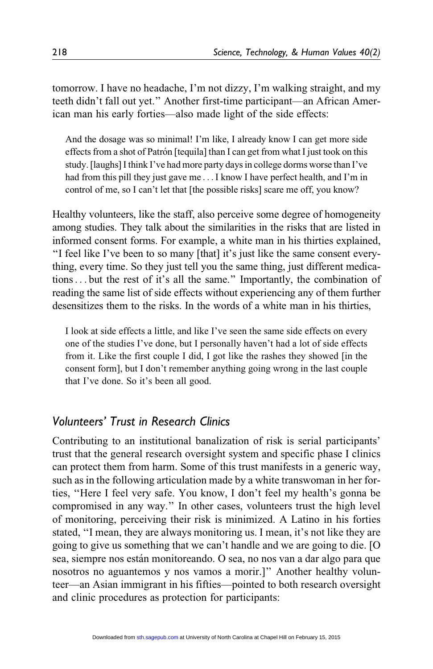tomorrow. I have no headache, I'm not dizzy, I'm walking straight, and my teeth didn't fall out yet.'' Another first-time participant—an African American man his early forties—also made light of the side effects:

And the dosage was so minimal! I'm like, I already know I can get more side effects from a shot of Patrón [tequila] than I can get from what I just took on this study. [laughs] I think I've had more party days in college dorms worse than I've had from this pill they just gave me . . . I know I have perfect health, and I'm in control of me, so I can't let that [the possible risks] scare me off, you know?

Healthy volunteers, like the staff, also perceive some degree of homogeneity among studies. They talk about the similarities in the risks that are listed in informed consent forms. For example, a white man in his thirties explained, ''I feel like I've been to so many [that] it's just like the same consent everything, every time. So they just tell you the same thing, just different medications... but the rest of it's all the same.'' Importantly, the combination of reading the same list of side effects without experiencing any of them further desensitizes them to the risks. In the words of a white man in his thirties,

I look at side effects a little, and like I've seen the same side effects on every one of the studies I've done, but I personally haven't had a lot of side effects from it. Like the first couple I did, I got like the rashes they showed [in the consent form], but I don't remember anything going wrong in the last couple that I've done. So it's been all good.

### Volunteers' Trust in Research Clinics

Contributing to an institutional banalization of risk is serial participants' trust that the general research oversight system and specific phase I clinics can protect them from harm. Some of this trust manifests in a generic way, such as in the following articulation made by a white transwoman in her forties, ''Here I feel very safe. You know, I don't feel my health's gonna be compromised in any way.'' In other cases, volunteers trust the high level of monitoring, perceiving their risk is minimized. A Latino in his forties stated, ''I mean, they are always monitoring us. I mean, it's not like they are going to give us something that we can't handle and we are going to die. [O sea, siempre nos están monitoreando. O sea, no nos van a dar algo para que nosotros no aguantemos y nos vamos a morir.]'' Another healthy volunteer—an Asian immigrant in his fifties—pointed to both research oversight and clinic procedures as protection for participants: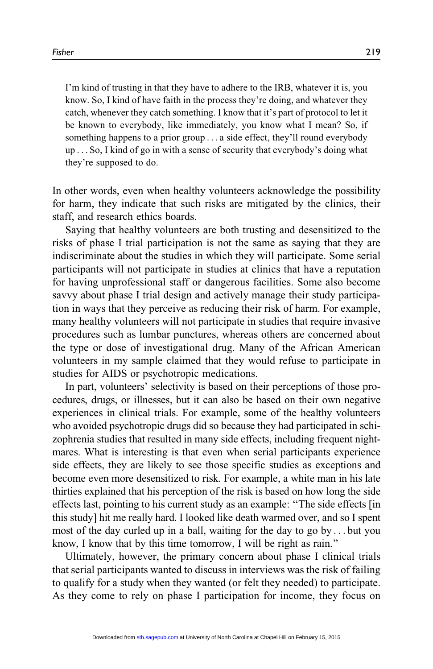I'm kind of trusting in that they have to adhere to the IRB, whatever it is, you know. So, I kind of have faith in the process they're doing, and whatever they catch, whenever they catch something. I know that it's part of protocol to let it be known to everybody, like immediately, you know what I mean? So, if something happens to a prior group ... a side effect, they'll round everybody up ... So, I kind of go in with a sense of security that everybody's doing what they're supposed to do.

In other words, even when healthy volunteers acknowledge the possibility for harm, they indicate that such risks are mitigated by the clinics, their staff, and research ethics boards.

Saying that healthy volunteers are both trusting and desensitized to the risks of phase I trial participation is not the same as saying that they are indiscriminate about the studies in which they will participate. Some serial participants will not participate in studies at clinics that have a reputation for having unprofessional staff or dangerous facilities. Some also become savvy about phase I trial design and actively manage their study participation in ways that they perceive as reducing their risk of harm. For example, many healthy volunteers will not participate in studies that require invasive procedures such as lumbar punctures, whereas others are concerned about the type or dose of investigational drug. Many of the African American volunteers in my sample claimed that they would refuse to participate in studies for AIDS or psychotropic medications.

In part, volunteers' selectivity is based on their perceptions of those procedures, drugs, or illnesses, but it can also be based on their own negative experiences in clinical trials. For example, some of the healthy volunteers who avoided psychotropic drugs did so because they had participated in schizophrenia studies that resulted in many side effects, including frequent nightmares. What is interesting is that even when serial participants experience side effects, they are likely to see those specific studies as exceptions and become even more desensitized to risk. For example, a white man in his late thirties explained that his perception of the risk is based on how long the side effects last, pointing to his current study as an example: ''The side effects [in this study] hit me really hard. I looked like death warmed over, and so I spent most of the day curled up in a ball, waiting for the day to go by ... but you know, I know that by this time tomorrow, I will be right as rain.''

Ultimately, however, the primary concern about phase I clinical trials that serial participants wanted to discuss in interviews was the risk of failing to qualify for a study when they wanted (or felt they needed) to participate. As they come to rely on phase I participation for income, they focus on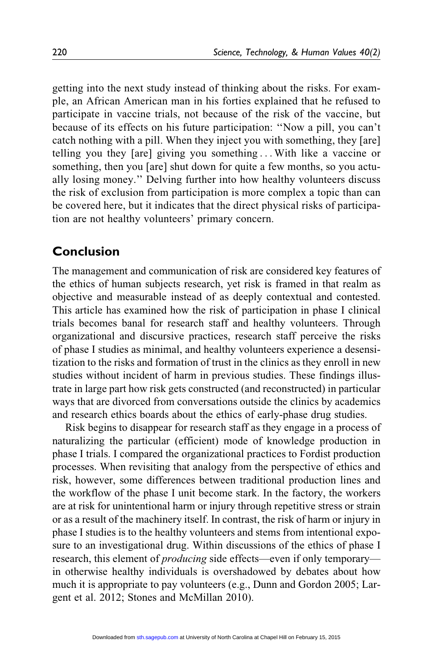getting into the next study instead of thinking about the risks. For example, an African American man in his forties explained that he refused to participate in vaccine trials, not because of the risk of the vaccine, but because of its effects on his future participation: ''Now a pill, you can't catch nothing with a pill. When they inject you with something, they [are] telling you they [are] giving you something ... With like a vaccine or something, then you [are] shut down for quite a few months, so you actually losing money.'' Delving further into how healthy volunteers discuss the risk of exclusion from participation is more complex a topic than can be covered here, but it indicates that the direct physical risks of participation are not healthy volunteers' primary concern.

# Conclusion

The management and communication of risk are considered key features of the ethics of human subjects research, yet risk is framed in that realm as objective and measurable instead of as deeply contextual and contested. This article has examined how the risk of participation in phase I clinical trials becomes banal for research staff and healthy volunteers. Through organizational and discursive practices, research staff perceive the risks of phase I studies as minimal, and healthy volunteers experience a desensitization to the risks and formation of trust in the clinics as they enroll in new studies without incident of harm in previous studies. These findings illustrate in large part how risk gets constructed (and reconstructed) in particular ways that are divorced from conversations outside the clinics by academics and research ethics boards about the ethics of early-phase drug studies.

Risk begins to disappear for research staff as they engage in a process of naturalizing the particular (efficient) mode of knowledge production in phase I trials. I compared the organizational practices to Fordist production processes. When revisiting that analogy from the perspective of ethics and risk, however, some differences between traditional production lines and the workflow of the phase I unit become stark. In the factory, the workers are at risk for unintentional harm or injury through repetitive stress or strain or as a result of the machinery itself. In contrast, the risk of harm or injury in phase I studies is to the healthy volunteers and stems from intentional exposure to an investigational drug. Within discussions of the ethics of phase I research, this element of producing side effects—even if only temporary in otherwise healthy individuals is overshadowed by debates about how much it is appropriate to pay volunteers (e.g., Dunn and Gordon 2005; Largent et al. 2012; Stones and McMillan 2010).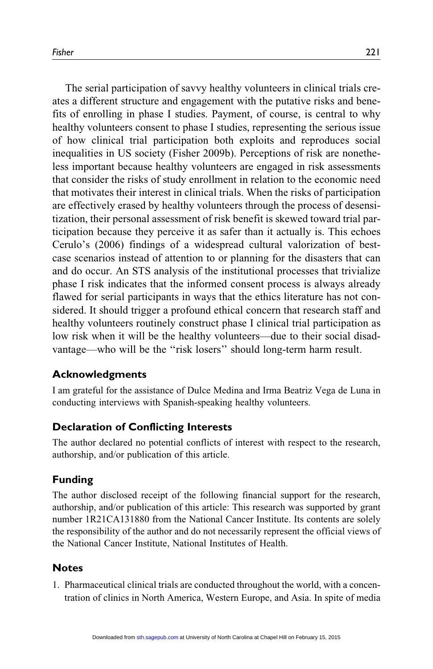The serial participation of savvy healthy volunteers in clinical trials creates a different structure and engagement with the putative risks and benefits of enrolling in phase I studies. Payment, of course, is central to why healthy volunteers consent to phase I studies, representing the serious issue of how clinical trial participation both exploits and reproduces social inequalities in US society (Fisher 2009b). Perceptions of risk are nonetheless important because healthy volunteers are engaged in risk assessments that consider the risks of study enrollment in relation to the economic need that motivates their interest in clinical trials. When the risks of participation are effectively erased by healthy volunteers through the process of desensitization, their personal assessment of risk benefit is skewed toward trial participation because they perceive it as safer than it actually is. This echoes Cerulo's (2006) findings of a widespread cultural valorization of bestcase scenarios instead of attention to or planning for the disasters that can and do occur. An STS analysis of the institutional processes that trivialize phase I risk indicates that the informed consent process is always already flawed for serial participants in ways that the ethics literature has not considered. It should trigger a profound ethical concern that research staff and healthy volunteers routinely construct phase I clinical trial participation as low risk when it will be the healthy volunteers—due to their social disadvantage—who will be the "risk losers" should long-term harm result.

#### Acknowledgments

I am grateful for the assistance of Dulce Medina and Irma Beatriz Vega de Luna in conducting interviews with Spanish-speaking healthy volunteers.

#### Declaration of Conflicting Interests

The author declared no potential conflicts of interest with respect to the research, authorship, and/or publication of this article.

#### Funding

The author disclosed receipt of the following financial support for the research, authorship, and/or publication of this article: This research was supported by grant number 1R21CA131880 from the National Cancer Institute. Its contents are solely the responsibility of the author and do not necessarily represent the official views of the National Cancer Institute, National Institutes of Health.

#### **Notes**

1. Pharmaceutical clinical trials are conducted throughout the world, with a concentration of clinics in North America, Western Europe, and Asia. In spite of media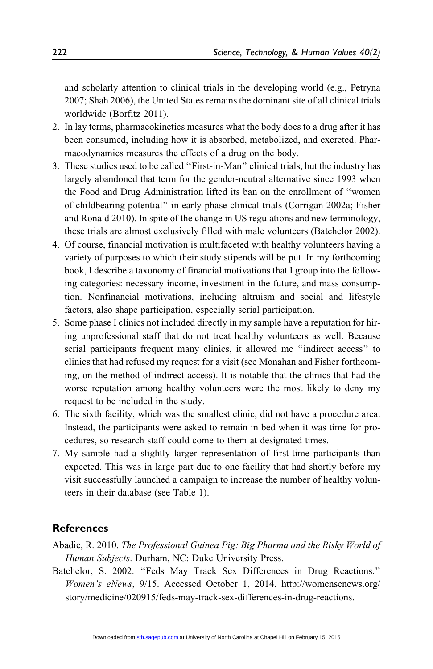and scholarly attention to clinical trials in the developing world (e.g., Petryna 2007; Shah 2006), the United States remains the dominant site of all clinical trials worldwide (Borfitz 2011).

- 2. In lay terms, pharmacokinetics measures what the body does to a drug after it has been consumed, including how it is absorbed, metabolized, and excreted. Pharmacodynamics measures the effects of a drug on the body.
- 3. These studies used to be called ''First-in-Man'' clinical trials, but the industry has largely abandoned that term for the gender-neutral alternative since 1993 when the Food and Drug Administration lifted its ban on the enrollment of ''women of childbearing potential'' in early-phase clinical trials (Corrigan 2002a; Fisher and Ronald 2010). In spite of the change in US regulations and new terminology, these trials are almost exclusively filled with male volunteers (Batchelor 2002).
- 4. Of course, financial motivation is multifaceted with healthy volunteers having a variety of purposes to which their study stipends will be put. In my forthcoming book, I describe a taxonomy of financial motivations that I group into the following categories: necessary income, investment in the future, and mass consumption. Nonfinancial motivations, including altruism and social and lifestyle factors, also shape participation, especially serial participation.
- 5. Some phase I clinics not included directly in my sample have a reputation for hiring unprofessional staff that do not treat healthy volunteers as well. Because serial participants frequent many clinics, it allowed me ''indirect access'' to clinics that had refused my request for a visit (see Monahan and Fisher forthcoming, on the method of indirect access). It is notable that the clinics that had the worse reputation among healthy volunteers were the most likely to deny my request to be included in the study.
- 6. The sixth facility, which was the smallest clinic, did not have a procedure area. Instead, the participants were asked to remain in bed when it was time for procedures, so research staff could come to them at designated times.
- 7. My sample had a slightly larger representation of first-time participants than expected. This was in large part due to one facility that had shortly before my visit successfully launched a campaign to increase the number of healthy volunteers in their database (see Table 1).

#### References

- Abadie, R. 2010. The Professional Guinea Pig: Big Pharma and the Risky World of Human Subjects. Durham, NC: Duke University Press.
- Batchelor, S. 2002. ''Feds May Track Sex Differences in Drug Reactions.'' Women's eNews, 9/15. Accessed October 1, 2014. [http://womensenews.org/](http://womensenews.org/story/medicine/020915/feds-may-track-sex-differences-in-drug-reactions) [story/medicine/020915/feds-may-track-sex-differences-in-drug-reactions.](http://womensenews.org/story/medicine/020915/feds-may-track-sex-differences-in-drug-reactions)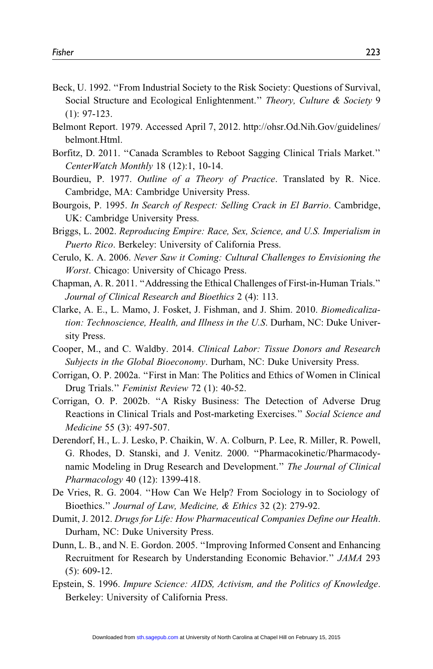- Beck, U. 1992. ''From Industrial Society to the Risk Society: Questions of Survival, Social Structure and Ecological Enlightenment." Theory, Culture & Society 9 (1): 97-123.
- Belmont Report. 1979. Accessed April 7, 2012. [http://ohsr.Od.Nih.Gov/guidelines/](http://ohsr.Od.Nih.Gov/guidelines/belmont.Html) [belmont.Html.](http://ohsr.Od.Nih.Gov/guidelines/belmont.Html)
- Borfitz, D. 2011. ''Canada Scrambles to Reboot Sagging Clinical Trials Market.'' CenterWatch Monthly 18 (12):1, 10-14.
- Bourdieu, P. 1977. Outline of a Theory of Practice. Translated by R. Nice. Cambridge, MA: Cambridge University Press.
- Bourgois, P. 1995. In Search of Respect: Selling Crack in El Barrio. Cambridge, UK: Cambridge University Press.
- Briggs, L. 2002. Reproducing Empire: Race, Sex, Science, and U.S. Imperialism in Puerto Rico. Berkeley: University of California Press.
- Cerulo, K. A. 2006. Never Saw it Coming: Cultural Challenges to Envisioning the Worst. Chicago: University of Chicago Press.
- Chapman, A. R. 2011. ''Addressing the Ethical Challenges of First-in-Human Trials.'' Journal of Clinical Research and Bioethics 2 (4): 113.
- Clarke, A. E., L. Mamo, J. Fosket, J. Fishman, and J. Shim. 2010. Biomedicalization: Technoscience, Health, and Illness in the U.S. Durham, NC: Duke University Press.
- Cooper, M., and C. Waldby. 2014. Clinical Labor: Tissue Donors and Research Subjects in the Global Bioeconomy. Durham, NC: Duke University Press.
- Corrigan, O. P. 2002a. ''First in Man: The Politics and Ethics of Women in Clinical Drug Trials.'' Feminist Review 72 (1): 40-52.
- Corrigan, O. P. 2002b. ''A Risky Business: The Detection of Adverse Drug Reactions in Clinical Trials and Post-marketing Exercises.'' Social Science and Medicine 55 (3): 497-507.
- Derendorf, H., L. J. Lesko, P. Chaikin, W. A. Colburn, P. Lee, R. Miller, R. Powell, G. Rhodes, D. Stanski, and J. Venitz. 2000. ''Pharmacokinetic/Pharmacodynamic Modeling in Drug Research and Development.'' The Journal of Clinical Pharmacology 40 (12): 1399-418.
- De Vries, R. G. 2004. ''How Can We Help? From Sociology in to Sociology of Bioethics.'' Journal of Law, Medicine, & Ethics 32 (2): 279-92.
- Dumit, J. 2012. Drugs for Life: How Pharmaceutical Companies Define our Health. Durham, NC: Duke University Press.
- Dunn, L. B., and N. E. Gordon. 2005. ''Improving Informed Consent and Enhancing Recruitment for Research by Understanding Economic Behavior.'' JAMA 293 (5): 609-12.
- Epstein, S. 1996. Impure Science: AIDS, Activism, and the Politics of Knowledge. Berkeley: University of California Press.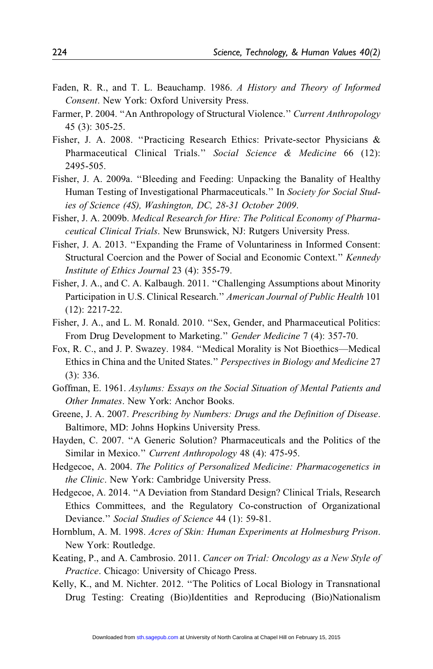- Faden, R. R., and T. L. Beauchamp. 1986. A History and Theory of Informed Consent. New York: Oxford University Press.
- Farmer, P. 2004. ''An Anthropology of Structural Violence.'' Current Anthropology 45 (3): 305-25.
- Fisher, J. A. 2008. ''Practicing Research Ethics: Private-sector Physicians & Pharmaceutical Clinical Trials." Social Science & Medicine 66 (12): 2495-505.
- Fisher, J. A. 2009a. ''Bleeding and Feeding: Unpacking the Banality of Healthy Human Testing of Investigational Pharmaceuticals." In Society for Social Studies of Science (4S), Washington, DC, 28-31 October 2009.
- Fisher, J. A. 2009b. Medical Research for Hire: The Political Economy of Pharmaceutical Clinical Trials. New Brunswick, NJ: Rutgers University Press.
- Fisher, J. A. 2013. ''Expanding the Frame of Voluntariness in Informed Consent: Structural Coercion and the Power of Social and Economic Context.'' Kennedy Institute of Ethics Journal 23 (4): 355-79.
- Fisher, J. A., and C. A. Kalbaugh. 2011. ''Challenging Assumptions about Minority Participation in U.S. Clinical Research.'' American Journal of Public Health 101 (12): 2217-22.
- Fisher, J. A., and L. M. Ronald. 2010. ''Sex, Gender, and Pharmaceutical Politics: From Drug Development to Marketing." Gender Medicine 7 (4): 357-70.
- Fox, R. C., and J. P. Swazey. 1984. ''Medical Morality is Not Bioethics—Medical Ethics in China and the United States.'' Perspectives in Biology and Medicine 27 (3): 336.
- Goffman, E. 1961. Asylums: Essays on the Social Situation of Mental Patients and Other Inmates. New York: Anchor Books.
- Greene, J. A. 2007. Prescribing by Numbers: Drugs and the Definition of Disease. Baltimore, MD: Johns Hopkins University Press.
- Hayden, C. 2007. ''A Generic Solution? Pharmaceuticals and the Politics of the Similar in Mexico." Current Anthropology 48 (4): 475-95.
- Hedgecoe, A. 2004. The Politics of Personalized Medicine: Pharmacogenetics in the Clinic. New York: Cambridge University Press.
- Hedgecoe, A. 2014. ''A Deviation from Standard Design? Clinical Trials, Research Ethics Committees, and the Regulatory Co-construction of Organizational Deviance.'' Social Studies of Science 44 (1): 59-81.
- Hornblum, A. M. 1998. Acres of Skin: Human Experiments at Holmesburg Prison. New York: Routledge.
- Keating, P., and A. Cambrosio. 2011. Cancer on Trial: Oncology as a New Style of Practice. Chicago: University of Chicago Press.
- Kelly, K., and M. Nichter. 2012. ''The Politics of Local Biology in Transnational Drug Testing: Creating (Bio)Identities and Reproducing (Bio)Nationalism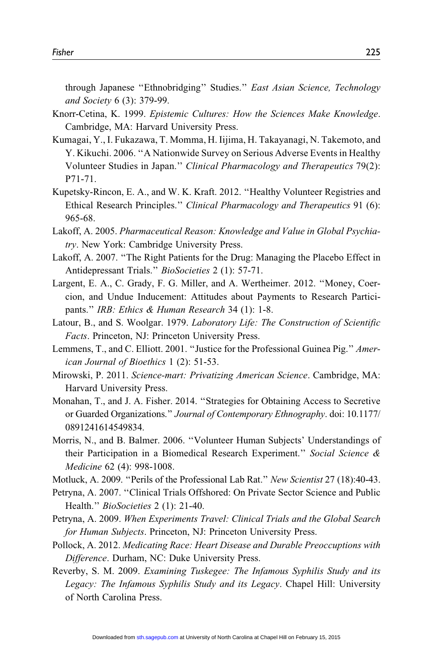through Japanese ''Ethnobridging'' Studies.'' East Asian Science, Technology and Society 6 (3): 379-99.

- Knorr-Cetina, K. 1999. Epistemic Cultures: How the Sciences Make Knowledge. Cambridge, MA: Harvard University Press.
- Kumagai, Y., I. Fukazawa, T. Momma, H. Iijima, H. Takayanagi, N. Takemoto, and Y. Kikuchi. 2006. ''A Nationwide Survey on Serious Adverse Events in Healthy Volunteer Studies in Japan.'' Clinical Pharmacology and Therapeutics 79(2): P71-71.
- Kupetsky-Rincon, E. A., and W. K. Kraft. 2012. ''Healthy Volunteer Registries and Ethical Research Principles.'' Clinical Pharmacology and Therapeutics 91 (6): 965-68.
- Lakoff, A. 2005. Pharmaceutical Reason: Knowledge and Value in Global Psychiatry. New York: Cambridge University Press.
- Lakoff, A. 2007. ''The Right Patients for the Drug: Managing the Placebo Effect in Antidepressant Trials.'' BioSocieties 2 (1): 57-71.
- Largent, E. A., C. Grady, F. G. Miller, and A. Wertheimer. 2012. ''Money, Coercion, and Undue Inducement: Attitudes about Payments to Research Participants.'' IRB: Ethics & Human Research 34 (1): 1-8.
- Latour, B., and S. Woolgar. 1979. Laboratory Life: The Construction of Scientific Facts. Princeton, NJ: Princeton University Press.
- Lemmens, T., and C. Elliott. 2001. ''Justice for the Professional Guinea Pig.'' American Journal of Bioethics 1 (2): 51-53.
- Mirowski, P. 2011. Science-mart: Privatizing American Science. Cambridge, MA: Harvard University Press.
- Monahan, T., and J. A. Fisher. 2014. ''Strategies for Obtaining Access to Secretive or Guarded Organizations.'' Journal of Contemporary Ethnography. doi: 10.1177/ 0891241614549834.
- Morris, N., and B. Balmer. 2006. ''Volunteer Human Subjects' Understandings of their Participation in a Biomedical Research Experiment.'' Social Science & Medicine 62 (4): 998-1008.
- Motluck, A. 2009. ''Perils of the Professional Lab Rat.'' New Scientist 27 (18):40-43.
- Petryna, A. 2007. ''Clinical Trials Offshored: On Private Sector Science and Public Health." BioSocieties 2 (1): 21-40.
- Petryna, A. 2009. When Experiments Travel: Clinical Trials and the Global Search for Human Subjects. Princeton, NJ: Princeton University Press.
- Pollock, A. 2012. Medicating Race: Heart Disease and Durable Preoccuptions with Difference. Durham, NC: Duke University Press.
- Reverby, S. M. 2009. Examining Tuskegee: The Infamous Syphilis Study and its Legacy: The Infamous Syphilis Study and its Legacy. Chapel Hill: University of North Carolina Press.